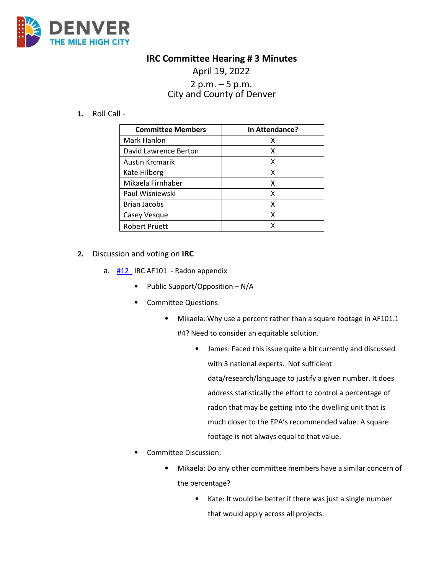

## **IRC Committee Hearing # 3 Minutes**

## April 19, 2022 2 p.m.  $-5$  p.m. City and County of Denver

**1.** Roll Call -

| <b>Committee Members</b> | In Attendance? |
|--------------------------|----------------|
| Mark Hanlon              | x              |
| David Lawrence Berton    | х              |
| Austin Krcmarik          | х              |
| Kate Hilberg             | x              |
| Mikaela Firnhaber        | х              |
| Paul Wisniewski          | x              |
| <b>Brian Jacobs</b>      | x              |
| Casey Vesque             | x              |
| <b>Robert Pruett</b>     | x              |

- **2.** Discussion and voting on **IRC** 
	- a.  $\frac{112}{12}$  IRC AF101 Radon appendix
		- Public Support/Opposition N/A
		- Committee Questions:
			- Mikaela: Why use a percent rather than a square footage in AF101.1 #4? Need to consider an equitable solution.
				- James: Faced this issue quite a bit currently and discussed with 3 national experts. Not sufficient data/research/language to justify a given number. It does address statistically the effort to control a percentage of radon that may be getting into the dwelling unit that is much closer to the EPA's recommended value. A square footage is not always equal to that value.
		- Committee Discussion:
			- Mikaela: Do any other committee members have a similar concern of the percentage?
				- Kate: It would be better if there was just a single number that would apply across all projects.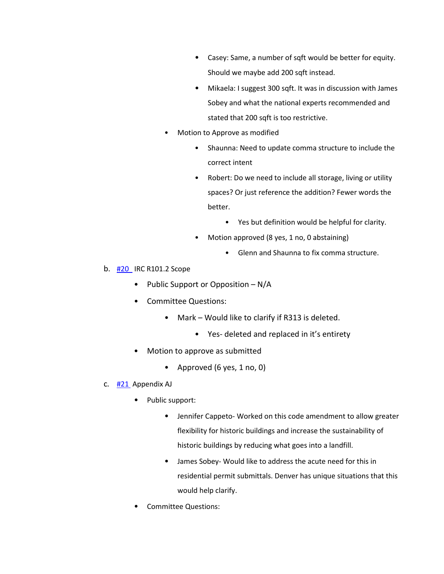- Casey: Same, a number of sqft would be better for equity. Should we maybe add 200 sqft instead.
- Mikaela: I suggest 300 sqft. It was in discussion with James Sobey and what the national experts recommended and stated that 200 sqft is too restrictive.
- Motion to Approve as modified
	- Shaunna: Need to update comma structure to include the correct intent
	- Robert: Do we need to include all storage, living or utility spaces? Or just reference the addition? Fewer words the better.
		- Yes but definition would be helpful for clarity.
	- Motion approved (8 yes, 1 no, 0 abstaining)
		- Glenn and Shaunna to fix comma structure.
- b. [#20](https://www.denvergov.org/files/assets/public/community-planning-and-development/documents/ds/building-codes/code-adoption/amendment-proposals/irc/20_irc_r101.2-scope.pdf) IRC R101.2 Scope
	- Public Support or Opposition N/A
	- Committee Questions:
		- Mark Would like to clarify if R313 is deleted.
			- Yes- deleted and replaced in it's entirety
	- Motion to approve as submitted
		- Approved (6 yes, 1 no, 0)
- c.  $\frac{\#21}{\#2}$  Appendix AJ
	- Public support:
		- Jennifer Cappeto- Worked on this code amendment to allow greater flexibility for historic buildings and increase the sustainability of historic buildings by reducing what goes into a landfill.
		- James Sobey- Would like to address the acute need for this in residential permit submittals. Denver has unique situations that this would help clarify.
	- Committee Questions: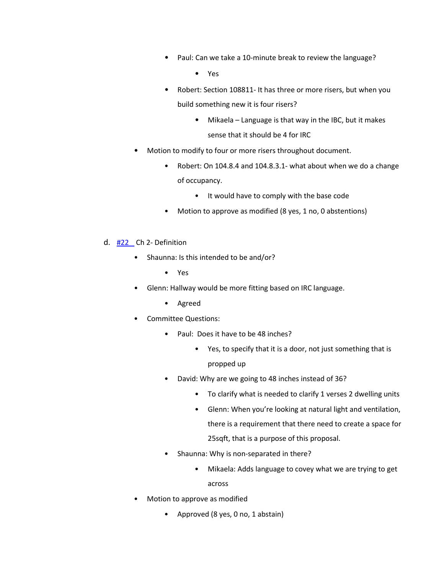• Paul: Can we take a 10-minute break to review the language?

• Yes

- Robert: Section 108811- It has three or more risers, but when you build something new it is four risers?
	- Mikaela Language is that way in the IBC, but it makes sense that it should be 4 for IRC
- Motion to modify to four or more risers throughout document.
	- Robert: On 104.8.4 and 104.8.3.1- what about when we do a change of occupancy.
		- It would have to comply with the base code
	- Motion to approve as modified (8 yes, 1 no, 0 abstentions)
- d. [#22](https://www.denvergov.org/files/assets/public/community-planning-and-development/documents/ds/building-codes/code-adoption/amendment-proposals/irc/22_irc_ch2-defintions.pdf) Ch 2- Definition
	- Shaunna: Is this intended to be and/or?
		- Yes
	- Glenn: Hallway would be more fitting based on IRC language.
		- Agreed
	- Committee Questions:
		- Paul: Does it have to be 48 inches?
			- Yes, to specify that it is a door, not just something that is propped up
		- David: Why are we going to 48 inches instead of 36?
			- To clarify what is needed to clarify 1 verses 2 dwelling units
			- Glenn: When you're looking at natural light and ventilation, there is a requirement that there need to create a space for 25sqft, that is a purpose of this proposal.
		- Shaunna: Why is non-separated in there?
			- Mikaela: Adds language to covey what we are trying to get across
	- Motion to approve as modified
		- Approved (8 yes, 0 no, 1 abstain)